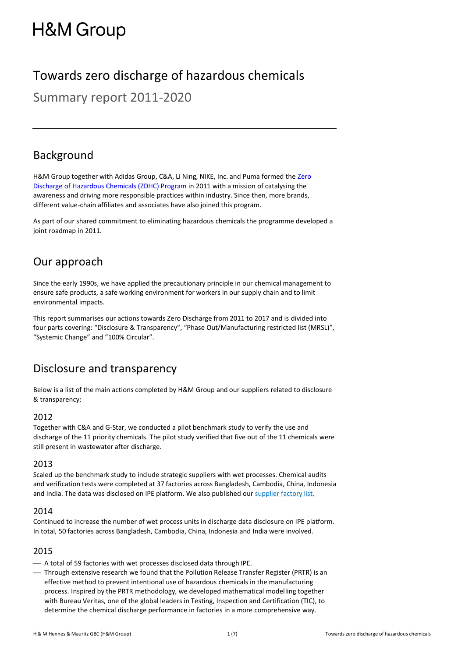# **H&M Group**

# Towards zero discharge of hazardous chemicals

Summary report 2011-2020

### Background

H&M Group together with Adidas Group, C&A, Li Ning, NIKE, Inc. and Puma formed the [Zero](http://www.roadmaptozero.com/)  [Discharge of Hazardous Chemicals \(ZDHC\) Program](http://www.roadmaptozero.com/) in 2011 with a mission of catalysing the awareness and driving more responsible practices within industry. Since then, more brands, different value-chain affiliates and associates have also joined this program.

As part of our shared commitment to eliminating hazardous chemicals the programme developed a joint roadmap in 2011.

### Our approach

Since the early 1990s, we have applied the precautionary principle in our chemical management to ensure safe products, a safe working environment for workers in our supply chain and to limit environmental impacts.

This report summarises our actions towards Zero Discharge from 2011 to 2017 and is divided into four parts covering: "Disclosure & Transparency", "Phase Out/Manufacturing restricted list (MRSL)", "Systemic Change" and "100% Circular".

### Disclosure and transparency

Below is a list of the main actions completed by H&M Group and our suppliers related to disclosure & transparency:

#### 2012

Together with C&A and G-Star, we conducted a pilot benchmark study to verify the use and discharge of the 11 priority chemicals. The pilot study verified that five out of the 11 chemicals were still present in wastewater after discharge.

#### 2013

Scaled up the benchmark study to include strategic suppliers with wet processes. Chemical audits and verification tests were completed at 37 factories across Bangladesh, Cambodia, China, Indonesia and India. The data was disclosed on IPE platform. We also published ou[r supplier factory list](https://hmgroup.com/sustainability/leading-the-change/supplier-list.html)*.*

#### 2014

Continued to increase the number of wet process units in discharge data disclosure on IPE platform. In total, 50 factories across Bangladesh, Cambodia, China, Indonesia and India were involved.

#### 2015

- $-$  A total of 59 factories with wet processes disclosed data through IPE.
- ⎯ Through extensive research we found that the Pollution Release Transfer Register (PRTR) is an effective method to prevent intentional use of hazardous chemicals in the manufacturing process. Inspired by the PRTR methodology, we developed mathematical modelling together with Bureau Veritas, one of the global leaders in Testing, Inspection and Certification (TIC), to determine the chemical discharge performance in factories in a more comprehensive way.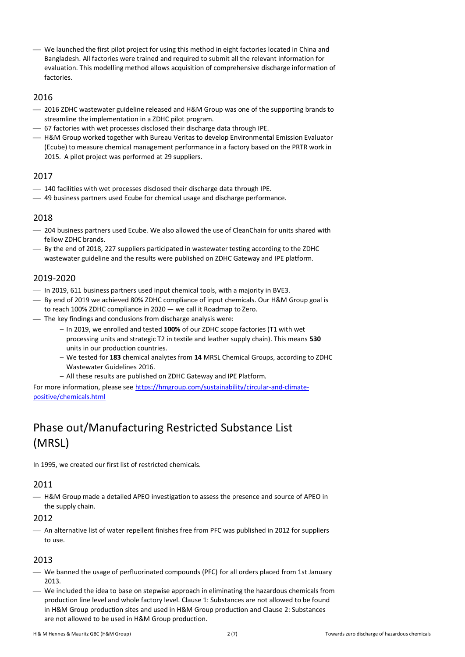⎯ We launched the first pilot project for using this method in eight factories located in China and Bangladesh. All factories were trained and required to submit all the relevant information for evaluation. This modelling method allows acquisition of comprehensive discharge information of factories.

#### 2016

- ⎯ 2016 ZDHC wastewater guideline released and H&M Group was one of the supporting brands to streamline the implementation in a ZDHC pilot program.
- $-$  67 factories with wet processes disclosed their discharge data through IPE.
- $-$  H&M Group worked together with Bureau Veritas to develop Environmental Emission Evaluator (Ecube) to measure chemical management performance in a factory based on the PRTR work in 2015. A pilot project was performed at 29 suppliers.

#### 2017

- 140 facilities with wet processes disclosed their discharge data through IPE.
- ⎯ 49 business partners used Ecube for chemical usage and discharge performance.

#### 2018

- ⎯ 204 business partners used Ecube. We also allowed the use of CleanChain for units shared with fellow ZDHC brands.
- ⎯ By the end of 2018, 227 suppliers participated in wastewater testing according to the ZDHC wastewater guideline and the results were published on ZDHC Gateway and IPE platform.

#### 2019-2020

- ⎯ In 2019, 611 business partners used input chemical tools, with a majority in BVE3.
- ⎯ By end of 2019 we achieved 80% ZDHC compliance of input chemicals. Our H&M Group goal is to reach 100% ZDHC compliance in 2020 — we call it Roadmap to Zero.
- The key findings and conclusions from discharge analysis were:
	- − In 2019, we enrolled and tested **100%** of our ZDHC scope factories (T1 with wet processing units and strategic T2 in textile and leather supply chain). This means **530** units in our production countries.
	- − We tested for **183** chemical analytes from **14** MRSL Chemical Groups, according to ZDHC Wastewater Guidelines 2016.
	- − All these results are published on ZDHC Gateway and IPE Platform.

For more information, please see [https://hmgroup.com/sustainability/circular-and-climate](https://hmgroup.com/sustainability/circular-and-climate-positive/chemicals.html)[positive/chemicals.html](https://hmgroup.com/sustainability/circular-and-climate-positive/chemicals.html)

# Phase out/Manufacturing Restricted Substance List (MRSL)

In 1995, we created our first list of restricted chemicals.

#### 2011

 $-$  H&M Group made a detailed APEO investigation to assess the presence and source of APEO in the supply chain.

#### 2012

- An alternative list of water repellent finishes free from PFC was published in 2012 for suppliers to use.

#### 2013

- We banned the usage of perfluorinated compounds (PFC) for all orders placed from 1st January 2013.
- ⎯ We included the idea to base on stepwise approach in eliminating the hazardous chemicals from production line level and whole factory level. Clause 1: Substances are not allowed to be found in H&M Group production sites and used in H&M Group production and Clause 2: Substances are not allowed to be used in H&M Group production.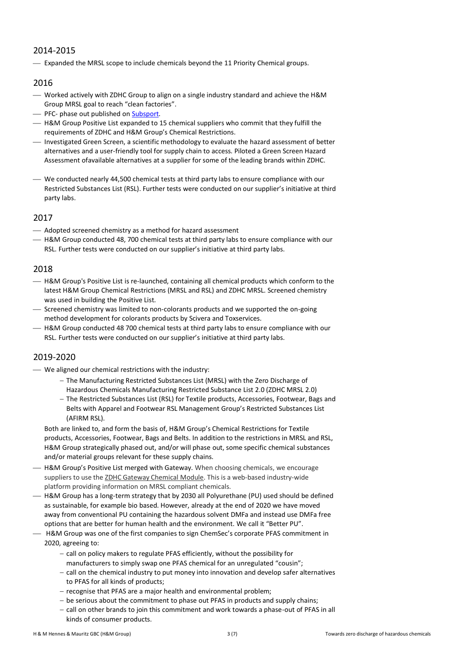#### 2014-2015

- Expanded the MRSL scope to include chemicals beyond the 11 Priority Chemical groups.

#### 2016

- ⎯ Worked actively with ZDHC Group to align on a single industry standard and achieve the H&M Group MRSL goal to reach "clean factories".
- PFC- phase out published o[n Subsport.](http://www.subsport.eu/case-stories/429-en)
- $-$  H&M Group Positive List expanded to 15 chemical suppliers who commit that they fulfill the requirements of ZDHC and H&M Group's Chemical Restrictions.
- ⎯ Investigated Green Screen, a scientific methodology to evaluate the hazard assessment of better alternatives and a user-friendly tool for supply chain to access. Piloted a Green Screen Hazard Assessment ofavailable alternatives at a supplier for some of the leading brands within ZDHC.
- We conducted nearly 44,500 chemical tests at third party labs to ensure compliance with our Restricted Substances List (RSL). Further tests were conducted on our supplier's initiative at third party labs.

#### 2017

- ⎯ Adopted screened chemistry as a method for hazard assessment
- $-$  H&M Group conducted 48, 700 chemical tests at third party labs to ensure compliance with our RSL. Further tests were conducted on our supplier's initiative at third party labs.

#### 2018

- $-$  H&M Group'[s Positive List](http://sustainability.hm.com/content/dam/hm/about/documents/masterlanguage/CSR/2017%20Sustainability%20report/HM%20Group%20Positive%20List-March%202018-for%20the%20website.pdf) is re-launched, containing all chemical products which conform to the latest H&M Group Chemical Restrictions (MRSL and RSL) and ZDHC MRSL. Screened chemistry was used in building the Positive List.
- ⎯ Screened chemistry was limited to non-colorants products and we supported the on-going method development for colorants products by Scivera and Toxservices.
- $-$  H&M Group conducted 48 700 chemical tests at third party labs to ensure compliance with our RSL. Further tests were conducted on our supplier's initiative at third party labs.

#### 2019-2020

- ⎯ We aligned our chemical restrictions with the industry:
	- − The Manufacturing Restricted Substances List (MRSL) with the Zero Discharge of Hazardous Chemicals Manufacturing Restricted Substance List 2.0 (ZDHC MRSL 2.0)
	- − The Restricted Substances List (RSL) for Textile products, Accessories, Footwear, Bags and Belts with Apparel and Footwear RSL Management Group's Restricted Substances List (AFIRM RSL).

Both are linked to, and form the basis of, H&M Group's Chemical Restrictions for Textile products, Accessories, Footwear, Bags and Belts. In addition to the restrictions in MRSL and RSL, H&M Group strategically phased out, and/or will phase out, some specific chemical substances and/or material groups relevant for these supply chains.

- H&M Group's Positive List merged with Gateway. When choosing chemicals, we encourage suppliers to use the ZDHC Gateway [Chemical Module.](https://www.roadmaptozero.com/input#Gateway-Chemical-Module) This is a web-based industry-wide platform providing information on MRSL compliant chemicals.
- $-$  H&M Group has a long-term strategy that by 2030 all Polyurethane (PU) used should be defined as sustainable, for example bio based. However, already at the end of 2020 we have moved away from conventional PU containing the hazardous solvent DMFa and instead use DMFa free options that are better for human health and the environment. We call it "Better PU".
- ⎯ H&M Group was one of the first companies to sign ChemSec's corporate PFAS commitment in 2020, agreeing to:
	- − call on policy makers to regulate PFAS efficiently, without the possibility for manufacturers to simply swap one PFAS chemical for an unregulated "cousin";
	- − call on the chemical industry to put money into innovation and develop safer alternatives to PFAS for all kinds of products;
	- − recognise that PFAS are a major health and environmental problem;
	- − be serious about the commitment to phase out PFAS in products and supply chains;
	- − call on other brands to join this commitment and work towards a phase-out of PFAS in all kinds of consumer products.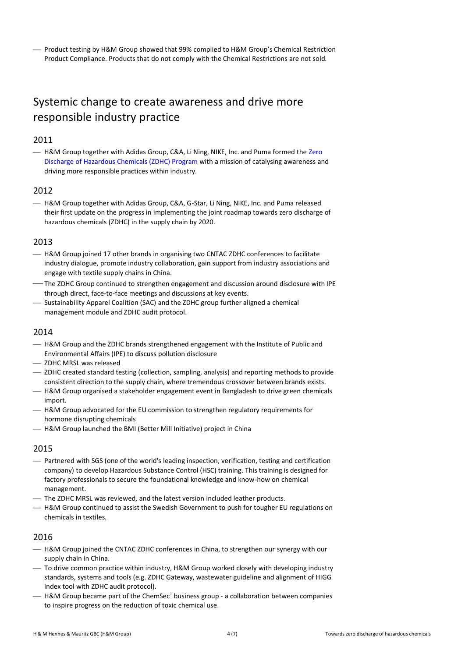⎯ Product testing by H&M Group showed that 99% complied to H&M Group's Chemical Restriction Product Compliance. Products that do not comply with the Chemical Restrictions are not sold.

# Systemic change to create awareness and drive more responsible industry practice

#### 2011

- H&M Group together with Adidas Group, C&A, Li Ning, NIKE, Inc. and Puma formed the Zero [Discharge of Hazardous Chemicals \(ZDHC\) Program](http://www.roadmaptozero.com/) with a mission of catalysing awareness and driving more responsible practices within industry.

#### 2012

- H&M Group together with Adidas Group, C&A, G-Star, Li Ning, NIKE, Inc. and Puma released their first update on the progress in implementing the joint roadmap towards zero discharge of hazardous chemicals (ZDHC) in the supply chain by 2020.

#### 2013

- $-$  H&M Group joined 17 other brands in organising two CNTAC ZDHC conferences to facilitate industry dialogue, promote industry collaboration, gain support from industry associations and engage with textile supply chains in China.
- ⎯ The ZDHC Group continued to strengthen engagement and discussion around disclosure with IPE through direct, face-to-face meetings and discussions at key events.
- ⎯ Sustainability Apparel Coalition (SAC) and the ZDHC group further aligned a chemical management module and ZDHC audit protocol.

#### 2014

- H&M Group and the ZDHC brands strengthened engagement with the Institute of Public and Environmental Affairs (IPE) to discuss pollution disclosure
- ZDHC MRSL was released
- ⎯ ZDHC created standard testing (collection, sampling, analysis) and reporting methods to provide consistent direction to the supply chain, where tremendous crossover between brands exists.
- ⎯ H&M Group organised a stakeholder engagement event in Bangladesh to drive green chemicals import.
- $-$  H&M Group advocated for the EU commission to strengthen regulatory requirements for hormone disrupting chemicals
- $-$  H&M Group launched the BMI (Better Mill Initiative) project in China

#### 2015

- ⎯ Partnered with SGS (one of the world's leading inspection, verification, testing and certification company) to develop Hazardous Substance Control (HSC) training. This training is designed for factory professionals to secure the foundational knowledge and know-how on chemical management.
- The ZDHC MRSL was reviewed, and the latest version included leather products.
- $-$  H&M Group continued to assist the Swedish Government to push for tougher EU regulations on chemicals in textiles.

#### 2016

- $-$  H&M Group joined the CNTAC ZDHC conferences in China, to strengthen our synergy with our supply chain in China.
- ⎯ To drive common practice within industry, H&M Group worked closely with developing industry standards, systems and tools (e.g. ZDHC Gateway, wastewater guideline and alignment of HIGG index tool with ZDHC audit protocol).
- $-$  H&M Group became part of the ChemSec<sup>1</sup> business group a collaboration between companies to inspire progress on the reduction of toxic chemical use.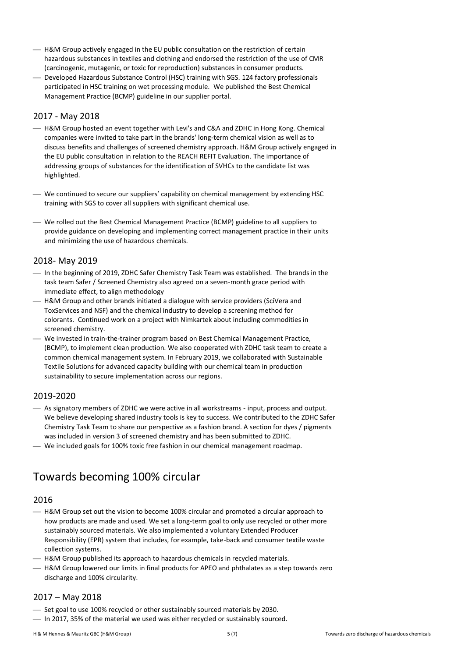- $-$  H&M Group actively engaged in the EU public consultation on the restriction of certain hazardous substances in textiles and clothing and endorsed the restriction of the use of CMR (carcinogenic, mutagenic, or toxic for reproduction) substances in consumer products.
- ⎯ Developed Hazardous Substance Control (HSC) training with SGS. 124 factory professionals participated in HSC training on wet processing module. We published the Best Chemical Management Practice (BCMP) guideline in our supplier portal.

#### 2017 - May 2018

- $-$  H&M Group hosted an event together with Levi's and C&A and ZDHC in Hong Kong. Chemical companies were invited to take part in the brands' long-term chemical vision as well as to discuss benefits and challenges of screened chemistry approach. H&M Group actively engaged in the EU public consultation in relation to the REACH REFIT Evaluation. The importance of addressing groups of substances for the identification of SVHCs to the candidate list was highlighted.
- We continued to secure our suppliers' capability on chemical management by extending HSC training with SGS to cover all suppliers with significant chemical use.
- ⎯ We rolled out the Best Chemical Management Practice (BCMP) guideline to all suppliers to provide guidance on developing and implementing correct management practice in their units and minimizing the use of hazardous chemicals.

#### 2018- May 2019

- ⎯ In the beginning of 2019, ZDHC Safer Chemistry Task Team was established. The brands in the task team Safer / Screened Chemistry also agreed on a seven-month grace period with immediate effect, to align methodology
- $-$  H&M Group and other brands initiated a dialogue with service providers (SciVera and ToxServices and NSF) and the chemical industry to develop a screening method for colorants. Continued work on a project with Nimkartek about including commodities in screened chemistry.
- ⎯ We invested in train-the-trainer program based on Best Chemical Management Practice, (BCMP), to implement clean production. We also cooperated with ZDHC task team to create a common chemical management system. In February 2019, we collaborated with Sustainable Textile Solutions for advanced capacity building with our chemical team in production sustainability to secure implementation across our regions.

#### 2019-2020

- ⎯ As signatory members of ZDHC we were active in all workstreams input, process and output. We believe developing shared industry tools is key to success. We contributed to the ZDHC Safer Chemistry Task Team to share our perspective as a fashion brand. A section for dyes / pigments was included in version 3 of screened chemistry and has been submitted to ZDHC.
- ⎯ We included goals for 100% toxic free fashion in our chemical management roadmap.

# Towards becoming 100% circular

#### 2016

- $-$  H&M Group set out the vision to become 100% circular and promoted a circular approach to how products are made and used. We set a long-term goal to only use recycled or other more sustainably sourced materials. We also implemented a voluntary Extended Producer Responsibility (EPR) system that includes, for example, take-back and consumer textile waste collection systems.
- $-$  H&M Group published its approach to hazardous chemicals in recycled materials.
- $-$  H&M Group lowered our limits in final products for APEO and phthalates as a step towards zero discharge and 100% circularity.

#### 2017 – May 2018

- Set goal to use 100% recycled or other sustainably sourced materials by 2030.
- In 2017, 35% of the material we used was either recycled or sustainably sourced.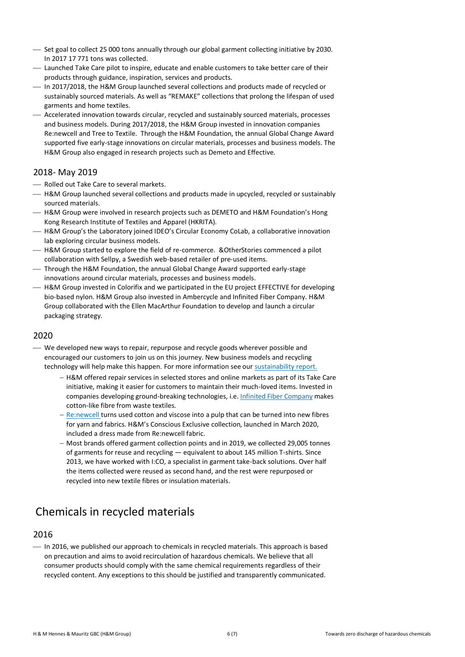- Set goal to collect 25 000 tons annually through our global garment collecting initiative by 2030. In 2017 17 771 tons was collected.
- ⎯ Launched Take Care pilot to inspire, educate and enable customers to take better care of their products through guidance, inspiration, services and products.
- $-$  In 2017/2018, the H&M Group launched several collections and products made of recycled or sustainably sourced materials. As well as "REMAKE" collections that prolong the lifespan of used garments and home textiles.
- ⎯ Accelerated innovation towards circular, recycled and sustainably sourced materials, processes and business models. During 2017/2018, the H&M Group invested in innovation companies Re:newcell and Tree to Textile. Through the H&M Foundation, the annual Global Change Award supported five early-stage innovations on circular materials, processes and business models. The H&M Group also engaged in research projects such as Demeto and Effective.

#### 2018- May 2019

- Rolled out Take Care to several markets.
- H&M Group launched several collections and products made in upcycled, recycled or sustainably sourced materials.
- $-$  H&M Group were involved in research projects such as DEMETO and H&M Foundation's Hong Kong Research Institute of Textiles and Apparel (HKRITA).
- ⎯ H&M Group's the Laboratory joined IDEO's Circular Economy CoLab, a collaborative innovation lab exploring circular business models.
- ⎯ H&M Group started to explore the field of re-commerce. &OtherStories commenced a pilot collaboration with Sellpy, a Swedish web-based retailer of pre-used items.
- ⎯ Through the H&M Foundation, the annual Global Change Award supported early-stage innovations around circular materials, processes and business models.
- ⎯ H&M Group invested in Colorifix and we participated in the EU project EFFECTIVE for developing bio-based nylon. H&M Group also invested in Ambercycle and Infinited Fiber Company. H&M Group collaborated with the Ellen MacArthur Foundation to develop and launch a circular packaging strategy.

#### 2020

- ⎯ We developed new ways to repair, repurpose and recycle goods wherever possible and encouraged our customers to join us on this journey. New business models and recycling technology will help make this happen. For more information see our [sustainability report.](https://hmgroup.com/sustainability/sustainability-reporting/)
	- − H&M offered repair services in selected stores and online markets as part of its Take Care initiative, making it easier for customers to maintain their much-loved items. Invested in companies developing ground-breaking technologies, i.e. [Infinited Fiber Company](https://infinitedfiber.com/) makes cotton-like fibre from waste textiles.
	- − [Re:newcell](https://renewcell.com/) turns used cotton and viscose into a pulp that can be turned into new fibres for yarn and fabrics. H&M's Conscious Exclusive collection, launched in March 2020, included a dress made from Re:newcell fabric.
	- − Most brands offered garment collection points and in 2019, we collected 29,005 tonnes of garments for reuse and recycling — equivalent to about 145 million T-shirts. Since 2013, we have worked with I:CO, a specialist in garment take-back solutions. Over half the items collected were reused as second hand, and the rest were repurposed or recycled into new textile fibres or insulation materials.

# Chemicals in recycled materials

#### 2016

⎯ In 2016, we published our approach to chemicals in recycled materials. This approach is based on precaution and aims to avoid recirculation of hazardous chemicals. We believe that all consumer products should comply with the same chemical requirements regardless of their recycled content. Any exceptions to this should be justified and transparently communicated.